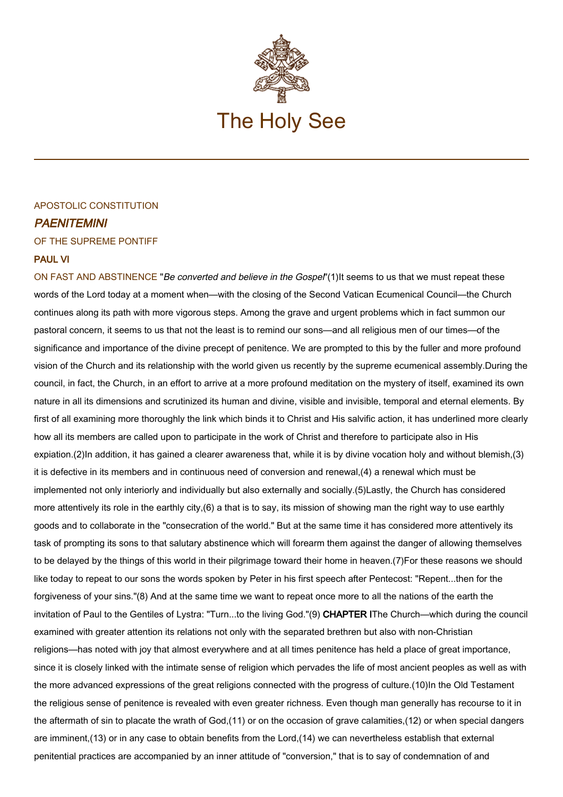

## APOSTOLIC CONSTITUTION

## **PAENITEMINI**

OF THE SUPREME PONTIFF

## PAUL VI

ON FAST AND ABSTINENCE "Be converted and believe in the Gospel"(1)It seems to us that we must repeat these words of the Lord today at a moment when—with the closing of the Second Vatican Ecumenical Council—the Church continues along its path with more vigorous steps. Among the grave and urgent problems which in fact summon our pastoral concern, it seems to us that not the least is to remind our sons—and all religious men of our times—of the significance and importance of the divine precept of penitence. We are prompted to this by the fuller and more profound vision of the Church and its relationship with the world given us recently by the supreme ecumenical assembly.During the council, in fact, the Church, in an effort to arrive at a more profound meditation on the mystery of itself, examined its own nature in all its dimensions and scrutinized its human and divine, visible and invisible, temporal and eternal elements. By first of all examining more thoroughly the link which binds it to Christ and His salvific action, it has underlined more clearly how all its members are called upon to participate in the work of Christ and therefore to participate also in His expiation.(2)In addition, it has gained a clearer awareness that, while it is by divine vocation holy and without blemish,(3) it is defective in its members and in continuous need of conversion and renewal,(4) a renewal which must be implemented not only interiorly and individually but also externally and socially.(5)Lastly, the Church has considered more attentively its role in the earthly city,(6) a that is to say, its mission of showing man the right way to use earthly goods and to collaborate in the "consecration of the world." But at the same time it has considered more attentively its task of prompting its sons to that salutary abstinence which will forearm them against the danger of allowing themselves to be delayed by the things of this world in their pilgrimage toward their home in heaven.(7)For these reasons we should like today to repeat to our sons the words spoken by Peter in his first speech after Pentecost: "Repent...then for the forgiveness of your sins."(8) And at the same time we want to repeat once more to all the nations of the earth the invitation of Paul to the Gentiles of Lystra: "Turn...to the living God."(9) CHAPTER IThe Church—which during the council examined with greater attention its relations not only with the separated brethren but also with non-Christian religions—has noted with joy that almost everywhere and at all times penitence has held a place of great importance, since it is closely linked with the intimate sense of religion which pervades the life of most ancient peoples as well as with the more advanced expressions of the great religions connected with the progress of culture.(10)In the Old Testament the religious sense of penitence is revealed with even greater richness. Even though man generally has recourse to it in the aftermath of sin to placate the wrath of God,(11) or on the occasion of grave calamities,(12) or when special dangers are imminent,(13) or in any case to obtain benefits from the Lord,(14) we can nevertheless establish that external penitential practices are accompanied by an inner attitude of "conversion," that is to say of condemnation of and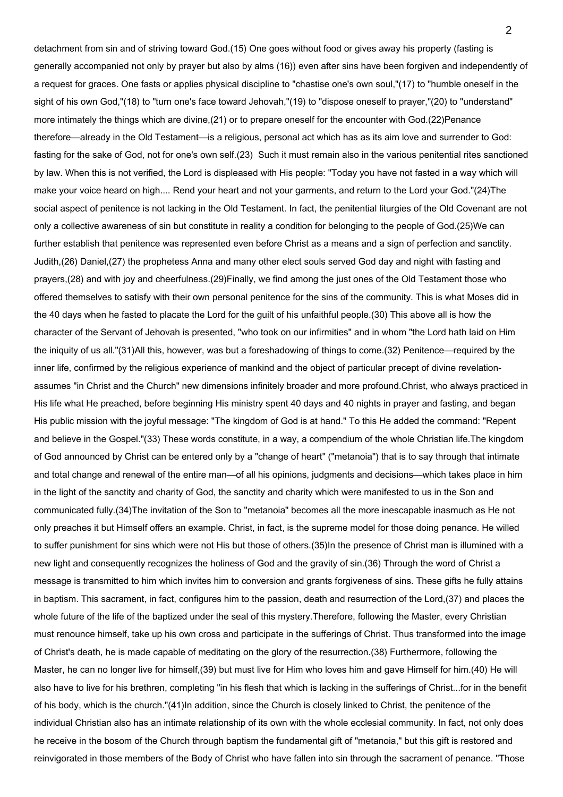detachment from sin and of striving toward God.(15) One goes without food or gives away his property (fasting is generally accompanied not only by prayer but also by alms (16)) even after sins have been forgiven and independently of a request for graces. One fasts or applies physical discipline to "chastise one's own soul,"(17) to "humble oneself in the sight of his own God,"(18) to "turn one's face toward Jehovah,"(19) to "dispose oneself to prayer,"(20) to "understand" more intimately the things which are divine,(21) or to prepare oneself for the encounter with God.(22)Penance therefore—already in the Old Testament—is a religious, personal act which has as its aim love and surrender to God: fasting for the sake of God, not for one's own self.(23) Such it must remain also in the various penitential rites sanctioned by law. When this is not verified, the Lord is displeased with His people: "Today you have not fasted in a way which will make your voice heard on high.... Rend your heart and not your garments, and return to the Lord your God."(24)The social aspect of penitence is not lacking in the Old Testament. In fact, the penitential liturgies of the Old Covenant are not only a collective awareness of sin but constitute in reality a condition for belonging to the people of God.(25)We can further establish that penitence was represented even before Christ as a means and a sign of perfection and sanctity. Judith,(26) Daniel,(27) the prophetess Anna and many other elect souls served God day and night with fasting and prayers,(28) and with joy and cheerfulness.(29)Finally, we find among the just ones of the Old Testament those who offered themselves to satisfy with their own personal penitence for the sins of the community. This is what Moses did in the 40 days when he fasted to placate the Lord for the guilt of his unfaithful people.(30) This above all is how the character of the Servant of Jehovah is presented, "who took on our infirmities" and in whom "the Lord hath laid on Him the iniquity of us all."(31)All this, however, was but a foreshadowing of things to come.(32) Penitence—required by the inner life, confirmed by the religious experience of mankind and the object of particular precept of divine revelationassumes "in Christ and the Church" new dimensions infinitely broader and more profound.Christ, who always practiced in His life what He preached, before beginning His ministry spent 40 days and 40 nights in prayer and fasting, and began His public mission with the joyful message: "The kingdom of God is at hand." To this He added the command: "Repent and believe in the Gospel."(33) These words constitute, in a way, a compendium of the whole Christian life.The kingdom of God announced by Christ can be entered only by a "change of heart" ("metanoia") that is to say through that intimate and total change and renewal of the entire man—of all his opinions, judgments and decisions—which takes place in him in the light of the sanctity and charity of God, the sanctity and charity which were manifested to us in the Son and communicated fully.(34)The invitation of the Son to "metanoia" becomes all the more inescapable inasmuch as He not only preaches it but Himself offers an example. Christ, in fact, is the supreme model for those doing penance. He willed to suffer punishment for sins which were not His but those of others.(35)In the presence of Christ man is illumined with a new light and consequently recognizes the holiness of God and the gravity of sin.(36) Through the word of Christ a message is transmitted to him which invites him to conversion and grants forgiveness of sins. These gifts he fully attains in baptism. This sacrament, in fact, configures him to the passion, death and resurrection of the Lord,(37) and places the whole future of the life of the baptized under the seal of this mystery.Therefore, following the Master, every Christian must renounce himself, take up his own cross and participate in the sufferings of Christ. Thus transformed into the image of Christ's death, he is made capable of meditating on the glory of the resurrection.(38) Furthermore, following the Master, he can no longer live for himself,(39) but must live for Him who loves him and gave Himself for him.(40) He will also have to live for his brethren, completing "in his flesh that which is lacking in the sufferings of Christ...for in the benefit of his body, which is the church."(41)In addition, since the Church is closely linked to Christ, the penitence of the individual Christian also has an intimate relationship of its own with the whole ecclesial community. In fact, not only does he receive in the bosom of the Church through baptism the fundamental gift of "metanoia," but this gift is restored and reinvigorated in those members of the Body of Christ who have fallen into sin through the sacrament of penance. "Those

 $\mathfrak{p}$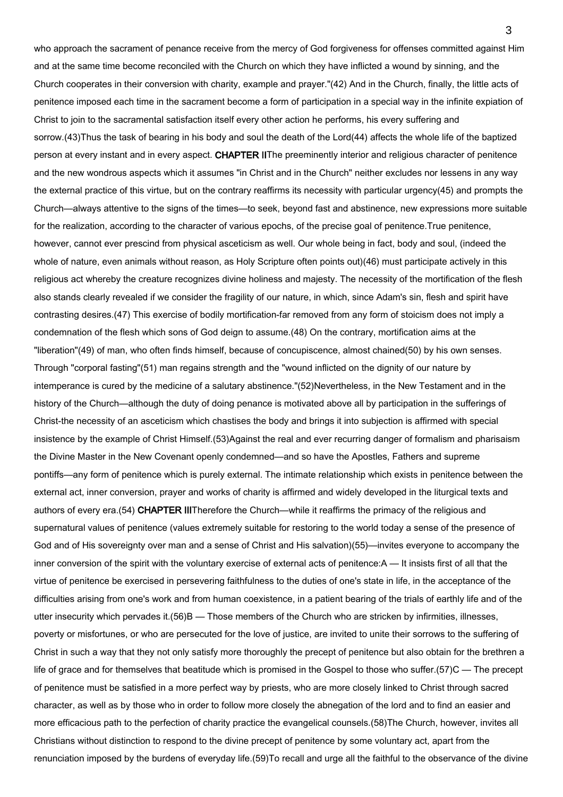who approach the sacrament of penance receive from the mercy of God forgiveness for offenses committed against Him and at the same time become reconciled with the Church on which they have inflicted a wound by sinning, and the Church cooperates in their conversion with charity, example and prayer."(42) And in the Church, finally, the little acts of penitence imposed each time in the sacrament become a form of participation in a special way in the infinite expiation of Christ to join to the sacramental satisfaction itself every other action he performs, his every suffering and sorrow.(43)Thus the task of bearing in his body and soul the death of the Lord(44) affects the whole life of the baptized person at every instant and in every aspect. CHAPTER IIThe preeminently interior and religious character of penitence and the new wondrous aspects which it assumes "in Christ and in the Church" neither excludes nor lessens in any way the external practice of this virtue, but on the contrary reaffirms its necessity with particular urgency(45) and prompts the Church—always attentive to the signs of the times—to seek, beyond fast and abstinence, new expressions more suitable for the realization, according to the character of various epochs, of the precise goal of penitence. True penitence, however, cannot ever prescind from physical asceticism as well. Our whole being in fact, body and soul, (indeed the whole of nature, even animals without reason, as Holy Scripture often points out)(46) must participate actively in this religious act whereby the creature recognizes divine holiness and majesty. The necessity of the mortification of the flesh also stands clearly revealed if we consider the fragility of our nature, in which, since Adam's sin, flesh and spirit have contrasting desires.(47) This exercise of bodily mortification-far removed from any form of stoicism does not imply a condemnation of the flesh which sons of God deign to assume.(48) On the contrary, mortification aims at the "liberation"(49) of man, who often finds himself, because of concupiscence, almost chained(50) by his own senses. Through "corporal fasting"(51) man regains strength and the "wound inflicted on the dignity of our nature by intemperance is cured by the medicine of a salutary abstinence."(52)Nevertheless, in the New Testament and in the history of the Church—although the duty of doing penance is motivated above all by participation in the sufferings of Christ-the necessity of an asceticism which chastises the body and brings it into subjection is affirmed with special insistence by the example of Christ Himself.(53)Against the real and ever recurring danger of formalism and pharisaism the Divine Master in the New Covenant openly condemned—and so have the Apostles, Fathers and supreme pontiffs—any form of penitence which is purely external. The intimate relationship which exists in penitence between the external act, inner conversion, prayer and works of charity is affirmed and widely developed in the liturgical texts and authors of every era.(54) CHAPTER IIITherefore the Church—while it reaffirms the primacy of the religious and supernatural values of penitence (values extremely suitable for restoring to the world today a sense of the presence of God and of His sovereignty over man and a sense of Christ and His salvation)(55)—invites everyone to accompany the inner conversion of the spirit with the voluntary exercise of external acts of penitence:A — It insists first of all that the virtue of penitence be exercised in persevering faithfulness to the duties of one's state in life, in the acceptance of the difficulties arising from one's work and from human coexistence, in a patient bearing of the trials of earthly life and of the utter insecurity which pervades it.(56)B — Those members of the Church who are stricken by infirmities, illnesses, poverty or misfortunes, or who are persecuted for the love of justice, are invited to unite their sorrows to the suffering of Christ in such a way that they not only satisfy more thoroughly the precept of penitence but also obtain for the brethren a life of grace and for themselves that beatitude which is promised in the Gospel to those who suffer.(57)C — The precept of penitence must be satisfied in a more perfect way by priests, who are more closely linked to Christ through sacred character, as well as by those who in order to follow more closely the abnegation of the lord and to find an easier and more efficacious path to the perfection of charity practice the evangelical counsels.(58)The Church, however, invites all Christians without distinction to respond to the divine precept of penitence by some voluntary act, apart from the renunciation imposed by the burdens of everyday life.(59)To recall and urge all the faithful to the observance of the divine

3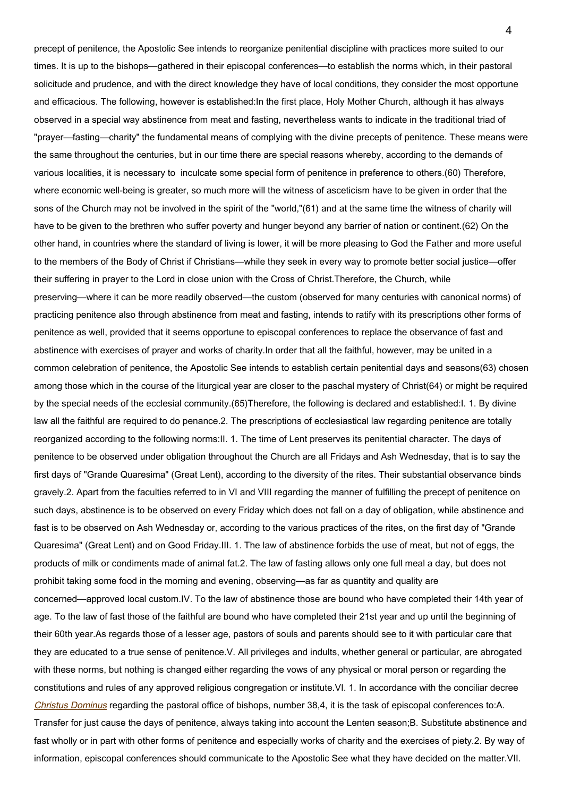precept of penitence, the Apostolic See intends to reorganize penitential discipline with practices more suited to our times. It is up to the bishops—gathered in their episcopal conferences—to establish the norms which, in their pastoral solicitude and prudence, and with the direct knowledge they have of local conditions, they consider the most opportune and efficacious. The following, however is established:In the first place, Holy Mother Church, although it has always observed in a special way abstinence from meat and fasting, nevertheless wants to indicate in the traditional triad of "prayer—fasting—charity" the fundamental means of complying with the divine precepts of penitence. These means were the same throughout the centuries, but in our time there are special reasons whereby, according to the demands of various localities, it is necessary to inculcate some special form of penitence in preference to others.(60) Therefore, where economic well-being is greater, so much more will the witness of asceticism have to be given in order that the sons of the Church may not be involved in the spirit of the "world,"(61) and at the same time the witness of charity will have to be given to the brethren who suffer poverty and hunger beyond any barrier of nation or continent.(62) On the other hand, in countries where the standard of living is lower, it will be more pleasing to God the Father and more useful to the members of the Body of Christ if Christians—while they seek in every way to promote better social justice—offer their suffering in prayer to the Lord in close union with the Cross of Christ.Therefore, the Church, while preserving—where it can be more readily observed—the custom (observed for many centuries with canonical norms) of practicing penitence also through abstinence from meat and fasting, intends to ratify with its prescriptions other forms of penitence as well, provided that it seems opportune to episcopal conferences to replace the observance of fast and abstinence with exercises of prayer and works of charity.In order that all the faithful, however, may be united in a common celebration of penitence, the Apostolic See intends to establish certain penitential days and seasons(63) chosen among those which in the course of the liturgical year are closer to the paschal mystery of Christ(64) or might be required by the special needs of the ecclesial community.(65)Therefore, the following is declared and established:I. 1. By divine law all the faithful are required to do penance.2. The prescriptions of ecclesiastical law regarding penitence are totally reorganized according to the following norms:II. 1. The time of Lent preserves its penitential character. The days of penitence to be observed under obligation throughout the Church are all Fridays and Ash Wednesday, that is to say the first days of "Grande Quaresima" (Great Lent), according to the diversity of the rites. Their substantial observance binds gravely.2. Apart from the faculties referred to in VI and VIII regarding the manner of fulfilling the precept of penitence on such days, abstinence is to be observed on every Friday which does not fall on a day of obligation, while abstinence and fast is to be observed on Ash Wednesday or, according to the various practices of the rites, on the first day of "Grande Quaresima" (Great Lent) and on Good Friday.III. 1. The law of abstinence forbids the use of meat, but not of eggs, the products of milk or condiments made of animal fat.2. The law of fasting allows only one full meal a day, but does not prohibit taking some food in the morning and evening, observing—as far as quantity and quality are concerned—approved local custom.IV. To the law of abstinence those are bound who have completed their 14th year of age. To the law of fast those of the faithful are bound who have completed their 21st year and up until the beginning of their 60th year.As regards those of a lesser age, pastors of souls and parents should see to it with particular care that they are educated to a true sense of penitence.V. All privileges and indults, whether general or particular, are abrogated with these norms, but nothing is changed either regarding the vows of any physical or moral person or regarding the constitutions and rules of any approved religious congregation or institute.VI. 1. In accordance with the conciliar decree [Christus Dominus](http://www.vatican.va/archive/hist_councils/ii_vatican_council/documents/vat-ii_decree_19651028_christus-dominus_en.html) regarding the pastoral office of bishops, number 38,4, it is the task of episcopal conferences to:A. Transfer for just cause the days of penitence, always taking into account the Lenten season;B. Substitute abstinence and fast wholly or in part with other forms of penitence and especially works of charity and the exercises of piety.2. By way of information, episcopal conferences should communicate to the Apostolic See what they have decided on the matter.VII.

4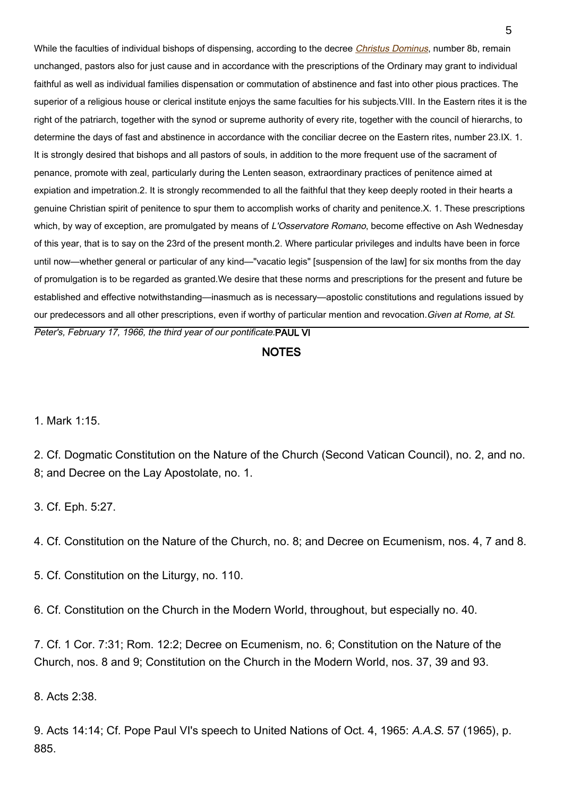While the faculties of individual bishops of dispensing, according to the decree [Christus Dominus](http://www.vatican.va/archive/hist_councils/ii_vatican_council/documents/vat-ii_decree_19651028_christus-dominus_en.html), number 8b, remain unchanged, pastors also for just cause and in accordance with the prescriptions of the Ordinary may grant to individual faithful as well as individual families dispensation or commutation of abstinence and fast into other pious practices. The superior of a religious house or clerical institute enjoys the same faculties for his subjects.VIII. In the Eastern rites it is the right of the patriarch, together with the synod or supreme authority of every rite, together with the council of hierarchs, to determine the days of fast and abstinence in accordance with the conciliar decree on the Eastern rites, number 23.IX. 1. It is strongly desired that bishops and all pastors of souls, in addition to the more frequent use of the sacrament of penance, promote with zeal, particularly during the Lenten season, extraordinary practices of penitence aimed at expiation and impetration.2. It is strongly recommended to all the faithful that they keep deeply rooted in their hearts a genuine Christian spirit of penitence to spur them to accomplish works of charity and penitence.X. 1. These prescriptions which, by way of exception, are promulgated by means of L'Osservatore Romano, become effective on Ash Wednesday of this year, that is to say on the 23rd of the present month.2. Where particular privileges and indults have been in force until now—whether general or particular of any kind—"vacatio legis" [suspension of the law] for six months from the day of promulgation is to be regarded as granted.We desire that these norms and prescriptions for the present and future be established and effective notwithstanding—inasmuch as is necessary—apostolic constitutions and regulations issued by our predecessors and all other prescriptions, even if worthy of particular mention and revocation. Given at Rome, at St.

Peter's, February 17, 1966, the third year of our pontificate. **PAUL VI** 

## **NOTES**

1. Mark 1:15.

2. Cf. Dogmatic Constitution on the Nature of the Church (Second Vatican Council), no. 2, and no. 8; and Decree on the Lay Apostolate, no. 1.

3. Cf. Eph. 5:27.

4. Cf. Constitution on the Nature of the Church, no. 8; and Decree on Ecumenism, nos. 4, 7 and 8.

5. Cf. Constitution on the Liturgy, no. 110.

6. Cf. Constitution on the Church in the Modern World, throughout, but especially no. 40.

7. Cf. 1 Cor. 7:31; Rom. 12:2; Decree on Ecumenism, no. 6; Constitution on the Nature of the Church, nos. 8 and 9; Constitution on the Church in the Modern World, nos. 37, 39 and 93.

8. Acts 2:38.

9. Acts 14:14; Cf. Pope Paul VI's speech to United Nations of Oct. 4, 1965: A.A.S. 57 (1965), p. 885.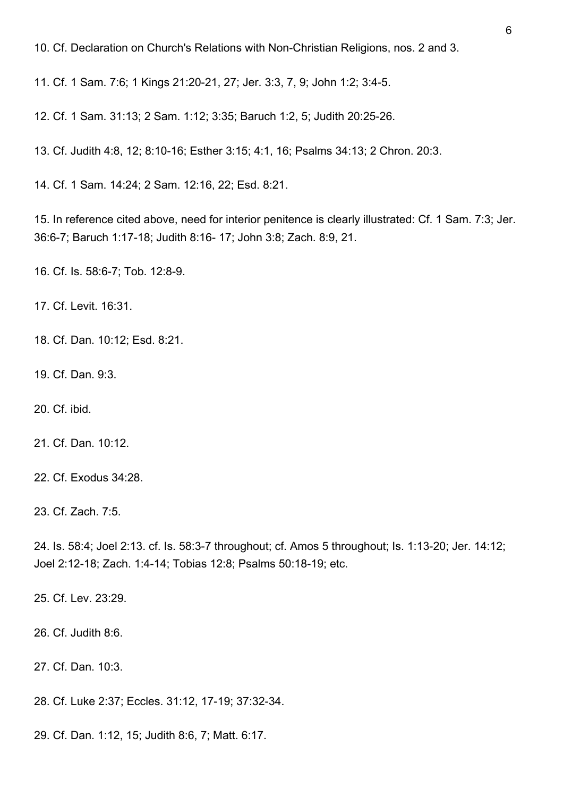10. Cf. Declaration on Church's Relations with Non-Christian Religions, nos. 2 and 3.

11. Cf. 1 Sam. 7:6; 1 Kings 21:20-21, 27; Jer. 3:3, 7, 9; John 1:2; 3:4-5.

12. Cf. 1 Sam. 31:13; 2 Sam. 1:12; 3:35; Baruch 1:2, 5; Judith 20:25-26.

13. Cf. Judith 4:8, 12; 8:10-16; Esther 3:15; 4:1, 16; Psalms 34:13; 2 Chron. 20:3.

14. Cf. 1 Sam. 14:24; 2 Sam. 12:16, 22; Esd. 8:21.

15. In reference cited above, need for interior penitence is clearly illustrated: Cf. 1 Sam. 7:3; Jer. 36:6-7; Baruch 1:17-18; Judith 8:16- 17; John 3:8; Zach. 8:9, 21.

16. Cf. Is. 58:6-7; Tob. 12:8-9.

17. Cf. Levit. 16:31.

18. Cf. Dan. 10:12; Esd. 8:21.

19. Cf. Dan. 9:3.

20. Cf. ibid.

21. Cf. Dan. 10:12.

22. Cf. Exodus 34:28.

23. Cf. Zach. 7:5.

24. Is. 58:4; Joel 2:13. cf. Is. 58:3-7 throughout; cf. Amos 5 throughout; Is. 1:13-20; Jer. 14:12; Joel 2:12-18; Zach. 1:4-14; Tobias 12:8; Psalms 50:18-19; etc.

25. Cf. Lev. 23:29.

26. Cf. Judith 8:6.

27. Cf. Dan. 10:3.

28. Cf. Luke 2:37; Eccles. 31:12, 17-19; 37:32-34.

29. Cf. Dan. 1:12, 15; Judith 8:6, 7; Matt. 6:17.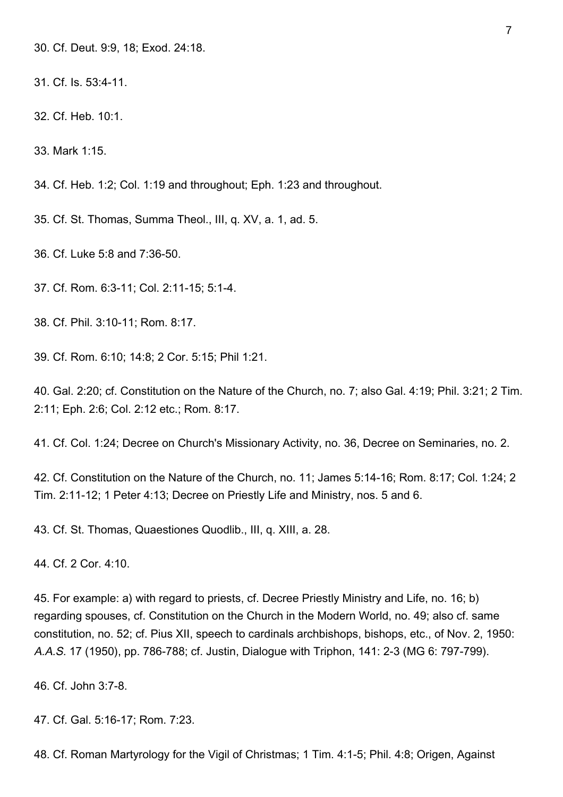30. Cf. Deut. 9:9, 18; Exod. 24:18.

31. Cf. Is. 53:4-11.

32. Cf. Heb. 10:1.

33. Mark 1:15.

34. Cf. Heb. 1:2; Col. 1:19 and throughout; Eph. 1:23 and throughout.

35. Cf. St. Thomas, Summa Theol., III, q. XV, a. 1, ad. 5.

36. Cf. Luke 5:8 and 7:36-50.

37. Cf. Rom. 6:3-11; Col. 2:11-15; 5:1-4.

38. Cf. Phil. 3:10-11; Rom. 8:17.

39. Cf. Rom. 6:10; 14:8; 2 Cor. 5:15; Phil 1:21.

40. Gal. 2:20; cf. Constitution on the Nature of the Church, no. 7; also Gal. 4:19; Phil. 3:21; 2 Tim. 2:11; Eph. 2:6; Col. 2:12 etc.; Rom. 8:17.

41. Cf. Col. 1:24; Decree on Church's Missionary Activity, no. 36, Decree on Seminaries, no. 2.

42. Cf. Constitution on the Nature of the Church, no. 11; James 5:14-16; Rom. 8:17; Col. 1:24; 2 Tim. 2:11-12; 1 Peter 4:13; Decree on Priestly Life and Ministry, nos. 5 and 6.

43. Cf. St. Thomas, Quaestiones Quodlib., III, q. XIII, a. 28.

44. Cf. 2 Cor. 4:10.

45. For example: a) with regard to priests, cf. Decree Priestly Ministry and Life, no. 16; b) regarding spouses, cf. Constitution on the Church in the Modern World, no. 49; also cf. same constitution, no. 52; cf. Pius XII, speech to cardinals archbishops, bishops, etc., of Nov. 2, 1950: A.A.S. 17 (1950), pp. 786-788; cf. Justin, Dialogue with Triphon, 141: 2-3 (MG 6: 797-799).

46. Cf. John 3:7-8.

47. Cf. Gal. 5:16-17; Rom. 7:23.

48. Cf. Roman Martyrology for the Vigil of Christmas; 1 Tim. 4:1-5; Phil. 4:8; Origen, Against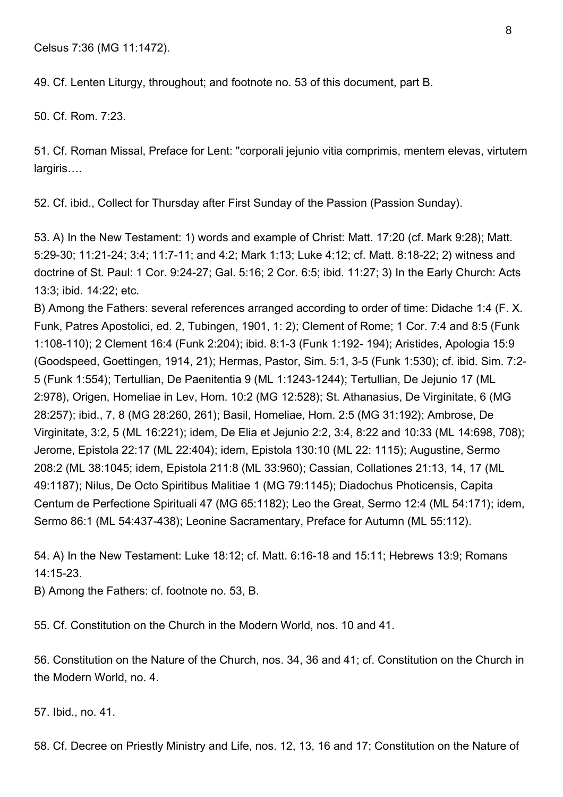Celsus 7:36 (MG 11:1472).

49. Cf. Lenten Liturgy, throughout; and footnote no. 53 of this document, part B.

50. Cf. Rom. 7:23.

51. Cf. Roman Missal, Preface for Lent: "corporali jejunio vitia comprimis, mentem elevas, virtutem largiris….

52. Cf. ibid., Collect for Thursday after First Sunday of the Passion (Passion Sunday).

53. A) In the New Testament: 1) words and example of Christ: Matt. 17:20 (cf. Mark 9:28); Matt. 5:29-30; 11:21-24; 3:4; 11:7-11; and 4:2; Mark 1:13; Luke 4:12; cf. Matt. 8:18-22; 2) witness and doctrine of St. Paul: 1 Cor. 9:24-27; Gal. 5:16; 2 Cor. 6:5; ibid. 11:27; 3) In the Early Church: Acts 13:3; ibid. 14:22; etc.

B) Among the Fathers: several references arranged according to order of time: Didache 1:4 (F. X. Funk, Patres Apostolici, ed. 2, Tubingen, 1901, 1: 2); Clement of Rome; 1 Cor. 7:4 and 8:5 (Funk 1:108-110); 2 Clement 16:4 (Funk 2:204); ibid. 8:1-3 (Funk 1:192- 194); Aristides, Apologia 15:9 (Goodspeed, Goettingen, 1914, 21); Hermas, Pastor, Sim. 5:1, 3-5 (Funk 1:530); cf. ibid. Sim. 7:2- 5 (Funk 1:554); Tertullian, De Paenitentia 9 (ML 1:1243-1244); Tertullian, De Jejunio 17 (ML 2:978), Origen, Homeliae in Lev, Hom. 10:2 (MG 12:528); St. Athanasius, De Virginitate, 6 (MG 28:257); ibid., 7, 8 (MG 28:260, 261); Basil, Homeliae, Hom. 2:5 (MG 31:192); Ambrose, De Virginitate, 3:2, 5 (ML 16:221); idem, De Elia et Jejunio 2:2, 3:4, 8:22 and 10:33 (ML 14:698, 708); Jerome, Epistola 22:17 (ML 22:404); idem, Epistola 130:10 (ML 22: 1115); Augustine, Sermo 208:2 (ML 38:1045; idem, Epistola 211:8 (ML 33:960); Cassian, Collationes 21:13, 14, 17 (ML 49:1187); Nilus, De Octo Spiritibus Malitiae 1 (MG 79:1145); Diadochus Photicensis, Capita Centum de Perfectione Spirituali 47 (MG 65:1182); Leo the Great, Sermo 12:4 (ML 54:171); idem, Sermo 86:1 (ML 54:437-438); Leonine Sacramentary, Preface for Autumn (ML 55:112).

54. A) In the New Testament: Luke 18:12; cf. Matt. 6:16-18 and 15:11; Hebrews 13:9; Romans 14:15-23.

B) Among the Fathers: cf. footnote no. 53, B.

55. Cf. Constitution on the Church in the Modern World, nos. 10 and 41.

56. Constitution on the Nature of the Church, nos. 34, 36 and 41; cf. Constitution on the Church in the Modern World, no. 4.

57. Ibid., no. 41.

58. Cf. Decree on Priestly Ministry and Life, nos. 12, 13, 16 and 17; Constitution on the Nature of